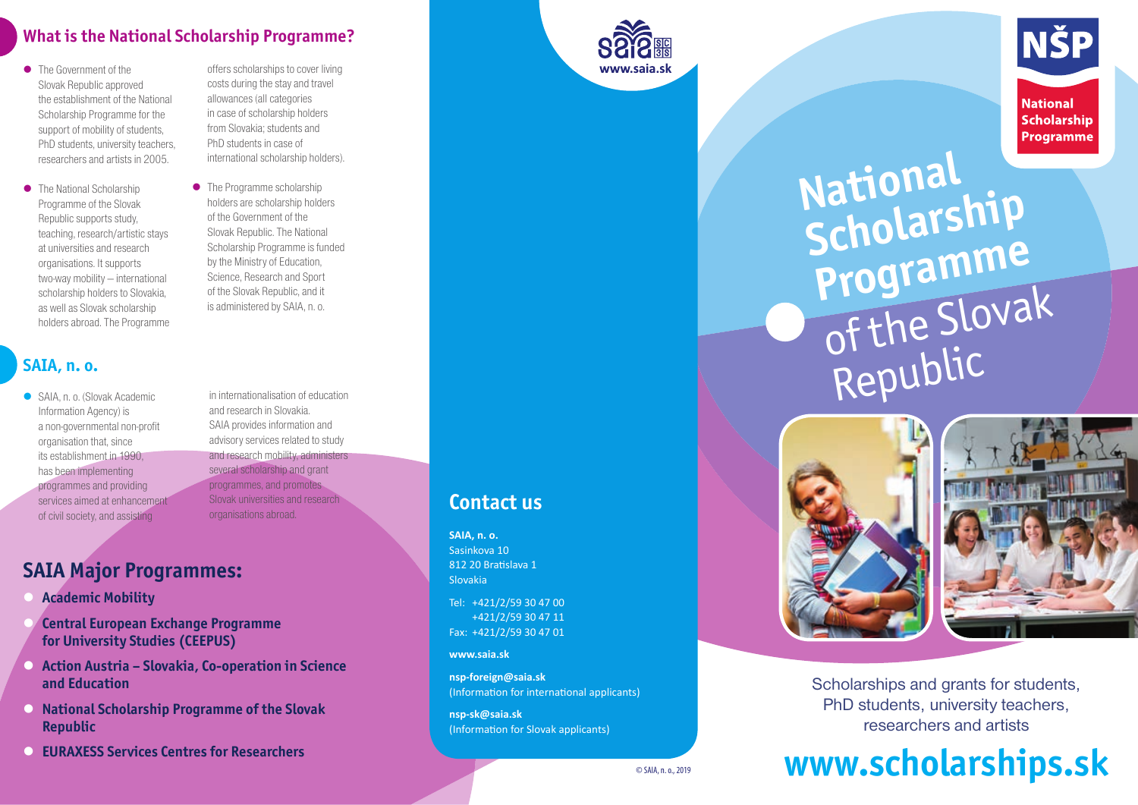#### **What is the National Scholarship Programme?**

**The Government of the** Slovak Republic approved the establishment of the National Scholarship Programme for the support of mobility of students, PhD students, university teachers, researchers and artists in 2005.

**•** The National Scholarship Programme of the Slovak Republic supports study, teaching, research/artistic stays at universities and research organisations. It supports two-way mobility — international scholarship holders to Slovakia, as well as Slovak scholarship holders abroad. The Programme

offers scholarships to cover living costs during the stay and travel allowances (all categories in case of scholarship holders from Slovakia; students and PhD students in case of international scholarship holders).

• The Programme scholarship holders are scholarship holders of the Government of the Slovak Republic. The National Scholarship Programme is funded by the Ministry of Education, Science, Research and Sport of the Slovak Republic, and it is administered by SAIA, n. o.

# **SAIA, n. o.**

● SAIA, n. o. (Slovak Academic Information Agency) is a non-governmental non-profit organisation that, since its establishment in 1990, has been implementing programmes and providing services aimed at enhancement of civil society, and assisting

in internationalisation of education and research in Slovakia. SAIA provides information and advisory services related to study and research mobility, administers several scholarship and grant programmes, and promotes Slovak universities and research organisations abroad.

# **SAIA Major Programmes:**

- **Academic Mobility**
- **Central European Exchange Programme for University Studies (CEEPUS)**
- **Action Austria Slovakia, Co-operation in Science and Education**
- **National Scholarship Programme of the Slovak Republic**
- **EURAXESS Services Centres for Researchers**

# **Contact us**

**SAIA, n. o.** Sasinkova 10 812 20 Bratislava 1 Slovakia

Tel: +421/2/59 30 47 00 +421/2/59 30 47 11 Fax: +421/2/59 30 47 01

**www.saia.sk**

**nsp-foreign@saia.sk**  (Information for international applicants)

**nsp-sk@saia.sk**  (Information for Slovak applicants) **National Scholarship Programme** of the Slovak Republic





**NŠP** 

**National Scholarship Programme** 

Scholarships and grants for students, PhD students, university teachers, researchers and artists

# © SAIA, n. o., 2019 **www.scholarships.sk**